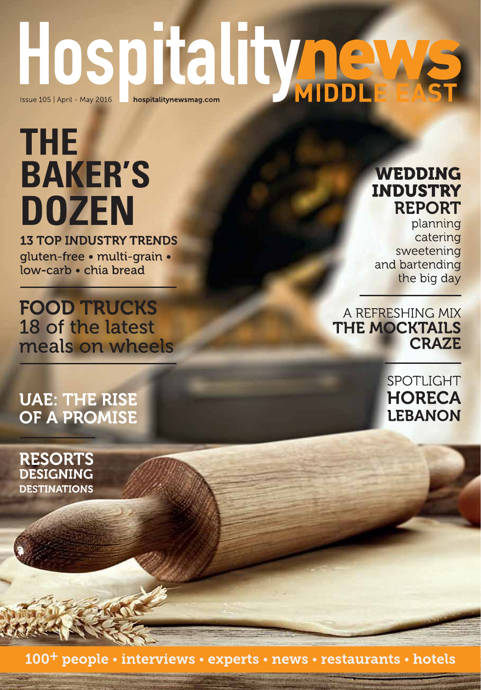# Hospitalityne

# **THE BAKER'S DOZEN 13 TOP INDUSTRY TRENDS**

gluten-free · multi-grain · low-carb • chia bread

**FOOD TRUCKS** 18 of the latest meals on wheels

## **UAE: THE RISE** OF A PROMISE

**RESORTS DESIGNING DESTINATIONS** 

### **WEDDING INDUSTRY REPORT**

planning catering sweetening and bartending the big day

A REFRESHING MIX THE MOCKTAILS **CRAZE** 

> SPOTLIGHT **HORECA LEBANON**

100<sup>+</sup> people • interviews • experts • news • restaurants • hotels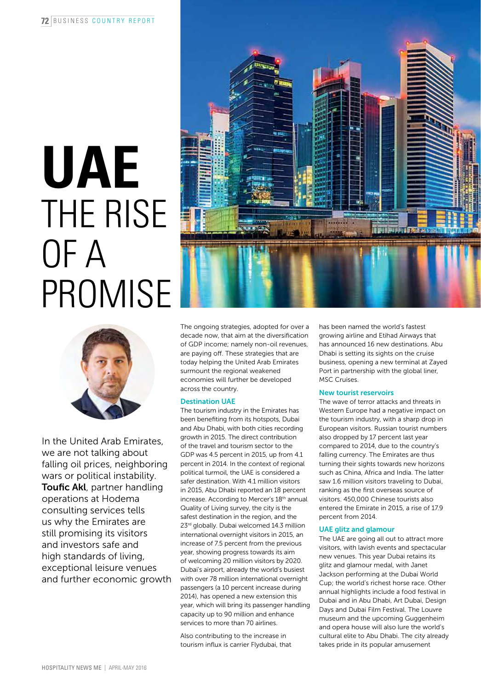# **UAE** THE RISE OF A **PROMISE**





In the United Arab Emirates, we are not talking about falling oil prices, neighboring wars or political instability. **Toufic Akl**, partner handling operations at Hodema consulting services tells us why the Emirates are still promising its visitors and investors safe and high standards of living, exceptional leisure venues and further economic growth The ongoing strategies, adopted for over a decade now, that aim at the diversification of GDP income; namely non-oil revenues, are paying off. These strategies that are today helping the United Arab Emirates surmount the regional weakened economies will further be developed across the country.

#### Destination UAE

The tourism industry in the Emirates has been benefiting from its hotspots, Dubai and Abu Dhabi, with both cities recording growth in 2015. The direct contribution of the travel and tourism sector to the GDP was 4.5 percent in 2015, up from 4.1 percent in 2014. In the context of regional political turmoil, the UAE is considered a safer destination. With 4.1 million visitors in 2015, Abu Dhabi reported an 18 percent increase. According to Mercer's 18th annual Quality of Living survey, the city is the safest destination in the region, and the 23<sup>rd</sup> globally. Dubai welcomed 14.3 million international overnight visitors in 2015, an increase of 7.5 percent from the previous year, showing progress towards its aim of welcoming 20 million visitors by 2020. Dubai's airport, already the world's busiest with over 78 million international overnight passengers (a 10 percent increase during 2014), has opened a new extension this year, which will bring its passenger handling capacity up to 90 million and enhance services to more than 70 airlines.

Also contributing to the increase in tourism influx is carrier Flydubai, that has been named the world's fastest growing airline and Etihad Airways that has announced 16 new destinations. Abu Dhabi is setting its sights on the cruise business, opening a new terminal at Zayed Port in partnership with the global liner, MSC Cruises.

#### New tourist reservoirs

The wave of terror attacks and threats in Western Europe had a negative impact on the tourism industry, with a sharp drop in European visitors. Russian tourist numbers also dropped by 17 percent last year compared to 2014, due to the country's falling currency. The Emirates are thus turning their sights towards new horizons such as China, Africa and India. The latter saw 1.6 million visitors traveling to Dubai, ranking as the first overseas source of visitors. 450,000 Chinese tourists also entered the Emirate in 2015, a rise of 17.9 percent from 2014.

#### UAE glitz and glamour

The UAE are going all out to attract more visitors, with lavish events and spectacular new venues. This year Dubai retains its glitz and glamour medal, with Janet Jackson performing at the Dubai World Cup; the world's richest horse race. Other annual highlights include a food festival in Dubai and in Abu Dhabi, Art Dubai, Design Days and Dubai Film Festival. The Louvre museum and the upcoming Guggenheim and opera house will also lure the world's cultural elite to Abu Dhabi. The city already takes pride in its popular amusement